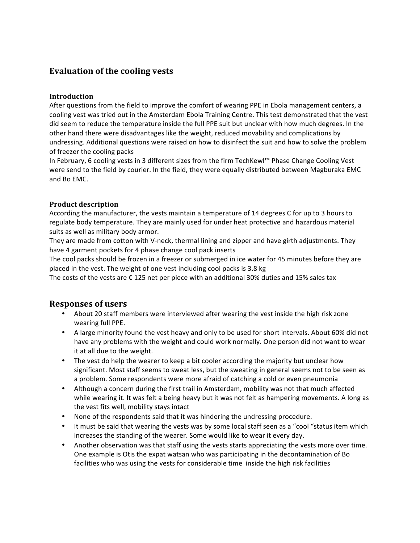# **Evaluation of the cooling vests**

#### **Introduction**

After questions from the field to improve the comfort of wearing PPE in Ebola management centers, a cooling vest was tried out in the Amsterdam Ebola Training Centre. This test demonstrated that the vest did seem to reduce the temperature inside the full PPE suit but unclear with how much degrees. In the other hand there were disadvantages like the weight, reduced movability and complications by undressing. Additional questions were raised on how to disinfect the suit and how to solve the problem of freezer the cooling packs

In February, 6 cooling vests in 3 different sizes from the firm TechKewl™ Phase Change Cooling Vest were send to the field by courier. In the field, they were equally distributed between Magburaka EMC and Bo EMC.

### **Product description**

According the manufacturer, the vests maintain a temperature of 14 degrees C for up to 3 hours to regulate body temperature. They are mainly used for under heat protective and hazardous material suits as well as military body armor.

They are made from cotton with V-neck, thermal lining and zipper and have girth adjustments. They have 4 garment pockets for 4 phase change cool pack inserts

The cool packs should be frozen in a freezer or submerged in ice water for 45 minutes before they are placed in the vest. The weight of one vest including cool packs is 3.8 kg

The costs of the vests are  $\epsilon$  125 net per piece with an additional 30% duties and 15% sales tax

## **Responses of users**

- About 20 staff members were interviewed after wearing the vest inside the high risk zone wearing full PPE.
- A large minority found the vest heavy and only to be used for short intervals. About 60% did not have any problems with the weight and could work normally. One person did not want to wear it at all due to the weight.
- The vest do help the wearer to keep a bit cooler according the majority but unclear how significant. Most staff seems to sweat less, but the sweating in general seems not to be seen as a problem. Some respondents were more afraid of catching a cold or even pneumonia
- Although a concern during the first trail in Amsterdam, mobility was not that much affected while wearing it. It was felt a being heavy but it was not felt as hampering movements. A long as the vest fits well, mobility stays intact
- None of the respondents said that it was hindering the undressing procedure.
- It must be said that wearing the vests was by some local staff seen as a "cool "status item which increases the standing of the wearer. Some would like to wear it every day.
- Another observation was that staff using the vests starts appreciating the vests more over time. One example is Otis the expat watsan who was participating in the decontamination of Bo facilities who was using the vests for considerable time inside the high risk facilities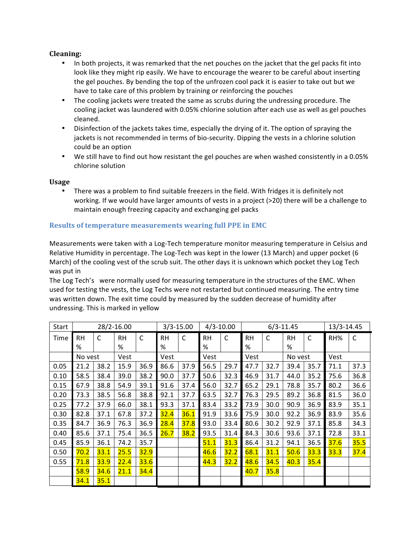### **Cleaning:**

- In both projects, it was remarked that the net pouches on the jacket that the gel packs fit into look like they might rip easily. We have to encourage the wearer to be careful about inserting the gel pouches. By bending the top of the unfrozen cool pack it is easier to take out but we have to take care of this problem by training or reinforcing the pouches
- The cooling jackets were treated the same as scrubs during the undressing procedure. The cooling jacket was laundered with 0.05% chlorine solution after each use as well as gel pouches cleaned.
- Disinfection of the jackets takes time, especially the drying of it. The option of spraying the jackets is not recommended in terms of bio-security. Dipping the vests in a chlorine solution could be an option
- We still have to find out how resistant the gel pouches are when washed consistently in a 0.05% chlorine solution

#### **Usage**

• There was a problem to find suitable freezers in the field. With fridges it is definitely not working. If we would have larger amounts of vests in a project  $(>20)$  there will be a challenge to maintain enough freezing capacity and exchanging gel packs

#### **Results of temperature measurements wearing full PPE in EMC**

Measurements were taken with a Log-Tech temperature monitor measuring temperature in Celsius and Relative Humidity in percentage. The Log-Tech was kept in the lower (13 March) and upper pocket (6 March) of the cooling vest of the scrub suit. The other days it is unknown which pocket they Log Tech was put in

The Log Tech's were normally used for measuring temperature in the structures of the EMC. When used for testing the vests, the Log Techs were not restarted but continued measuring. The entry time was written down. The exit time could by measured by the sudden decrease of humidity after undressing. This is marked in yellow

| Start | 28/2-16.00 |             |           |              | $3/3 - 15.00$ |      | $4/3 - 10.00$ |      | $6/3 - 11.45$ |      |           |              | 13/3-14.45 |      |
|-------|------------|-------------|-----------|--------------|---------------|------|---------------|------|---------------|------|-----------|--------------|------------|------|
| Time  | <b>RH</b>  | C           | <b>RH</b> | $\mathsf{C}$ | <b>RH</b>     | C    | <b>RH</b>     | C    | <b>RH</b>     | C    | <b>RH</b> | $\mathsf{C}$ | RH%        | C    |
|       | %          |             | %         |              | %             |      | $\%$          |      | %             |      | %         |              |            |      |
|       | No yest    |             | Vest      |              | Vest          |      | Vest          |      | Vest          |      | No vest   |              | Vest       |      |
| 0.05  | 21.2       | 38.2        | 15.9      | 36.9         | 86.6          | 37.9 | 56.5          | 29.7 | 47.7          | 32.7 | 39.4      | 35.7         | 71.1       | 37.3 |
| 0.10  | 58.5       | 38.4        | 39.0      | 38.2         | 90.0          | 37.7 | 50.6          | 32.3 | 46.9          | 31.7 | 44.0      | 35.2         | 75.6       | 36.8 |
| 0.15  | 67.9       | 38.8        | 54.9      | 39.1         | 91.6          | 37.4 | 56.0          | 32.7 | 65.2          | 29.1 | 78.8      | 35.7         | 80.2       | 36.6 |
| 0.20  | 73.3       | 38.5        | 56.8      | 38.8         | 92.1          | 37.7 | 63.5          | 32.7 | 76.3          | 29.5 | 89.2      | 36.8         | 81.5       | 36.0 |
| 0.25  | 77.2       | 37.9        | 66.0      | 38.1         | 93.3          | 37.1 | 83.4          | 33.2 | 73.9          | 30.0 | 90.9      | 36.9         | 83.9       | 35.1 |
| 0.30  | 82.8       | 37.1        | 67.8      | 37.2         | 32.4          | 36.1 | 91.9          | 33.6 | 75.9          | 30.0 | 92.2      | 36.9         | 83.9       | 35.6 |
| 0.35  | 84.7       | 36.9        | 76.3      | 36.9         | 28.4          | 37.8 | 93.0          | 33.4 | 80.6          | 30.2 | 92.9      | 37.1         | 85.8       | 34.3 |
| 0.40  | 85.6       | 37.1        | 75.4      | 36.5         | 26.7          | 38.2 | 93.5          | 31.4 | 84.3          | 30.6 | 93.6      | 37.1         | 72.8       | 33.1 |
| 0.45  | 85.9       | 36.1        | 74.2      | 35.7         |               |      | 51.1          | 31.3 | 86.4          | 31.2 | 94.1      | 36.5         | 37.6       | 35.5 |
| 0.50  | 70.2       | 33.1        | 25.5      | 32.9         |               |      | 46.6          | 32.2 | 68.1          | 31.1 | 50.6      | 33.3         | 33.3       | 37.4 |
| 0.55  | 71.8       | 33.9        | 22.4      | 33.6         |               |      | 44.3          | 32.2 | 48.6          | 34.5 | 40.3      | 35.4         |            |      |
|       | 58.9       | <b>34.6</b> | 21.1      | 34.4         |               |      |               |      | 40.7          | 35.8 |           |              |            |      |
|       | 34.1       | 35.1        |           |              |               |      |               |      |               |      |           |              |            |      |